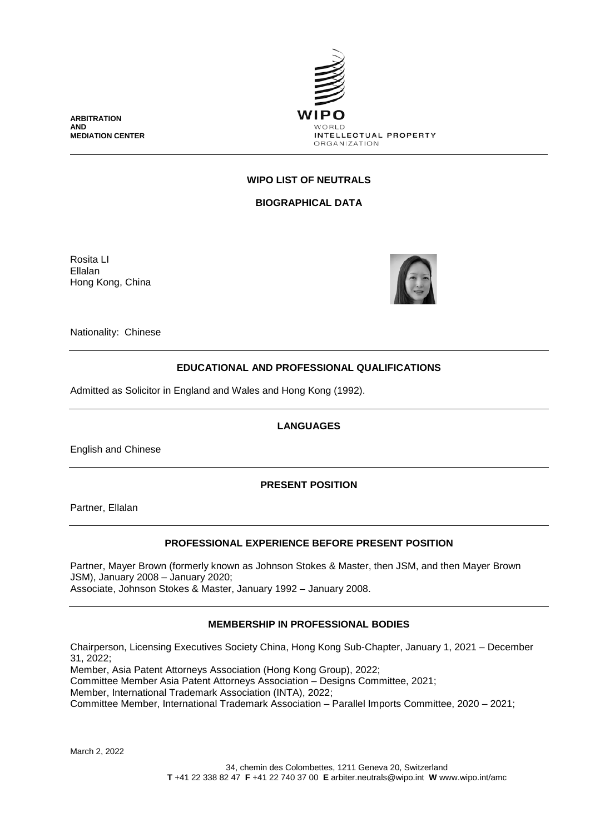

**WIPO LIST OF NEUTRALS**

**BIOGRAPHICAL DATA**

Rosita LI Ellalan Hong Kong, China

**ARBITRATION AND**

**MEDIATION CENTER**



Nationality: Chinese

# **EDUCATIONAL AND PROFESSIONAL QUALIFICATIONS**

Admitted as Solicitor in England and Wales and Hong Kong (1992).

# **LANGUAGES**

English and Chinese

**PRESENT POSITION**

Partner, Ellalan

# **PROFESSIONAL EXPERIENCE BEFORE PRESENT POSITION**

Partner, Mayer Brown (formerly known as Johnson Stokes & Master, then JSM, and then Mayer Brown JSM), January 2008 – January 2020; Associate, Johnson Stokes & Master, January 1992 – January 2008.

# **MEMBERSHIP IN PROFESSIONAL BODIES**

Chairperson, Licensing Executives Society China, Hong Kong Sub-Chapter, January 1, 2021 – December 31, 2022;

Member, Asia Patent Attorneys Association (Hong Kong Group), 2022; Committee Member Asia Patent Attorneys Association – Designs Committee, 2021; Member, International Trademark Association (INTA), 2022; Committee Member, International Trademark Association – Parallel Imports Committee, 2020 – 2021;

March 2, 2022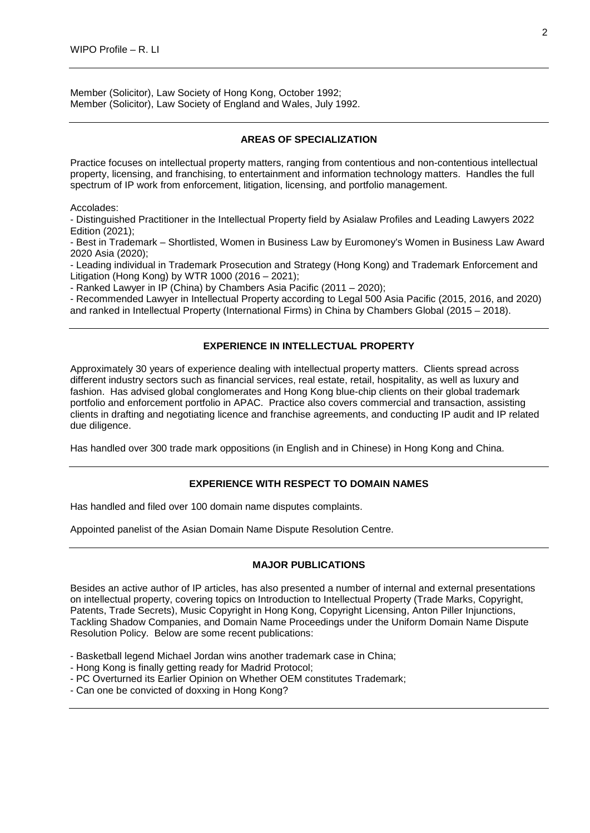Member (Solicitor), Law Society of Hong Kong, October 1992; Member (Solicitor), Law Society of England and Wales, July 1992.

# **AREAS OF SPECIALIZATION**

Practice focuses on intellectual property matters, ranging from contentious and non-contentious intellectual property, licensing, and franchising, to entertainment and information technology matters. Handles the full spectrum of IP work from enforcement, litigation, licensing, and portfolio management.

Accolades:

- Distinguished Practitioner in the Intellectual Property field by Asialaw Profiles and Leading Lawyers 2022 Edition (2021);

- Best in Trademark – Shortlisted, Women in Business Law by Euromoney's Women in Business Law Award 2020 Asia (2020);

- Leading individual in Trademark Prosecution and Strategy (Hong Kong) and Trademark Enforcement and Litigation (Hong Kong) by WTR 1000 (2016 – 2021);

- Ranked Lawyer in IP (China) by Chambers Asia Pacific (2011 – 2020);

- Recommended Lawyer in Intellectual Property according to Legal 500 Asia Pacific (2015, 2016, and 2020) and ranked in Intellectual Property (International Firms) in China by Chambers Global (2015 – 2018).

# **EXPERIENCE IN INTELLECTUAL PROPERTY**

Approximately 30 years of experience dealing with intellectual property matters. Clients spread across different industry sectors such as financial services, real estate, retail, hospitality, as well as luxury and fashion. Has advised global conglomerates and Hong Kong blue-chip clients on their global trademark portfolio and enforcement portfolio in APAC. Practice also covers commercial and transaction, assisting clients in drafting and negotiating licence and franchise agreements, and conducting IP audit and IP related due diligence.

Has handled over 300 trade mark oppositions (in English and in Chinese) in Hong Kong and China.

#### **EXPERIENCE WITH RESPECT TO DOMAIN NAMES**

Has handled and filed over 100 domain name disputes complaints.

Appointed panelist of the Asian Domain Name Dispute Resolution Centre.

#### **MAJOR PUBLICATIONS**

Besides an active author of IP articles, has also presented a number of internal and external presentations on intellectual property, covering topics on Introduction to Intellectual Property (Trade Marks, Copyright, Patents, Trade Secrets), Music Copyright in Hong Kong, Copyright Licensing, Anton Piller Injunctions, Tackling Shadow Companies, and Domain Name Proceedings under the Uniform Domain Name Dispute Resolution Policy. Below are some recent publications:

- Basketball legend Michael Jordan wins another trademark case in China;
- Hong Kong is finally getting ready for Madrid Protocol;
- PC Overturned its Earlier Opinion on Whether OEM constitutes Trademark;
- Can one be convicted of doxxing in Hong Kong?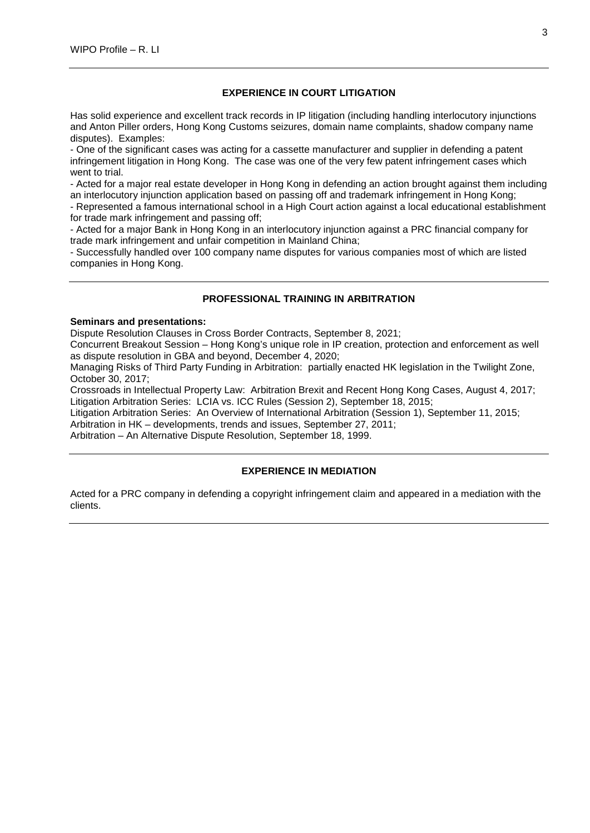# **EXPERIENCE IN COURT LITIGATION**

Has solid experience and excellent track records in IP litigation (including handling interlocutory injunctions and Anton Piller orders, Hong Kong Customs seizures, domain name complaints, shadow company name disputes). Examples:

- One of the significant cases was acting for a cassette manufacturer and supplier in defending a patent infringement litigation in Hong Kong. The case was one of the very few patent infringement cases which went to trial.

- Acted for a major real estate developer in Hong Kong in defending an action brought against them including an interlocutory injunction application based on passing off and trademark infringement in Hong Kong;

- Represented a famous international school in a High Court action against a local educational establishment for trade mark infringement and passing off;

- Acted for a major Bank in Hong Kong in an interlocutory injunction against a PRC financial company for trade mark infringement and unfair competition in Mainland China;

- Successfully handled over 100 company name disputes for various companies most of which are listed companies in Hong Kong.

# **PROFESSIONAL TRAINING IN ARBITRATION**

#### **Seminars and presentations:**

Dispute Resolution Clauses in Cross Border Contracts, September 8, 2021;

Concurrent Breakout Session – Hong Kong's unique role in IP creation, protection and enforcement as well as dispute resolution in GBA and beyond, December 4, 2020;

Managing Risks of Third Party Funding in Arbitration: partially enacted HK legislation in the Twilight Zone, October 30, 2017;

Crossroads in Intellectual Property Law: Arbitration Brexit and Recent Hong Kong Cases, August 4, 2017; Litigation Arbitration Series: LCIA vs. ICC Rules (Session 2), September 18, 2015;

Litigation Arbitration Series: An Overview of International Arbitration (Session 1), September 11, 2015;

Arbitration in HK – developments, trends and issues, September 27, 2011;

Arbitration – An Alternative Dispute Resolution, September 18, 1999.

# **EXPERIENCE IN MEDIATION**

Acted for a PRC company in defending a copyright infringement claim and appeared in a mediation with the clients.